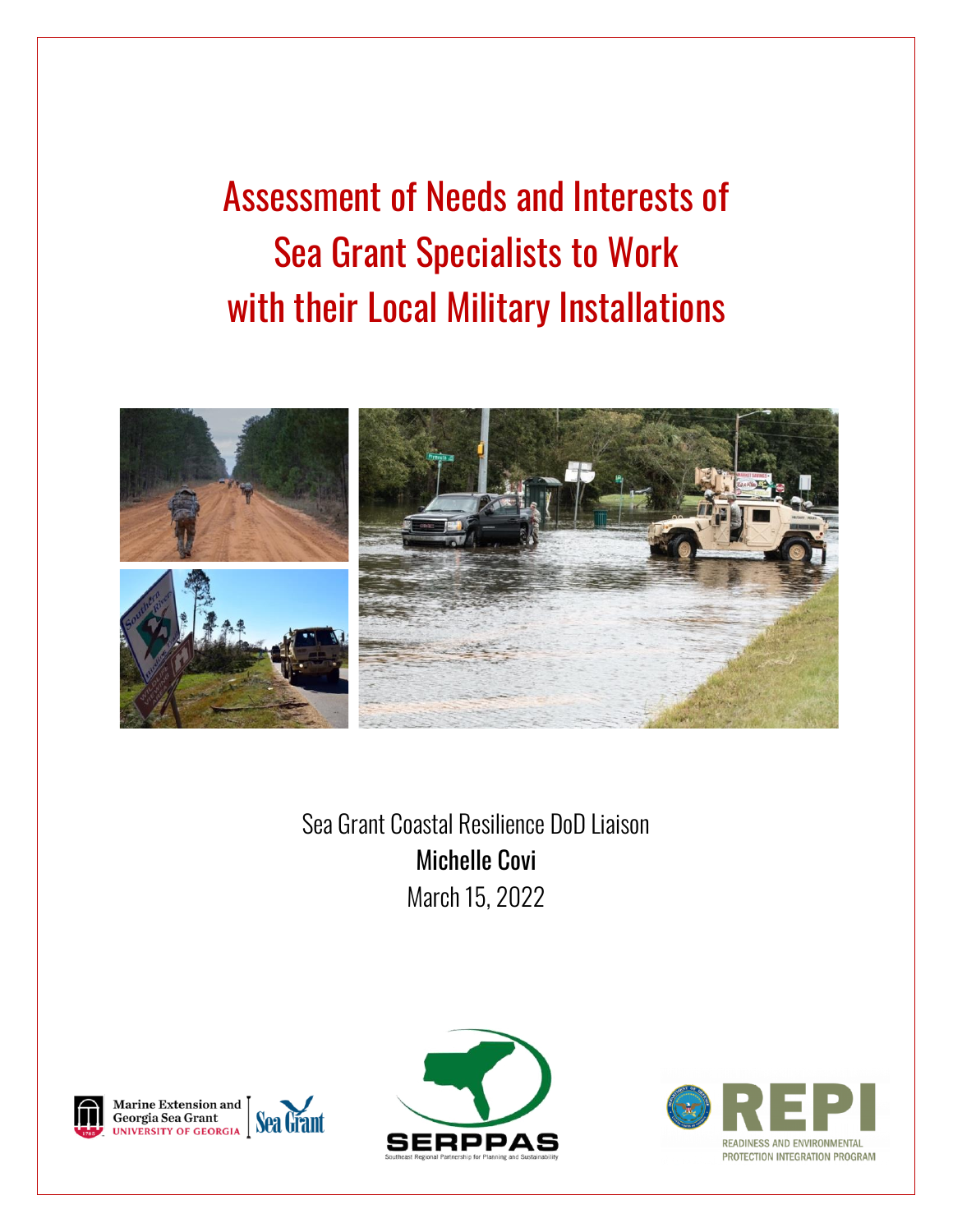Assessment of Needs and Interests of Sea Grant Specialists to Work with their Local Military Installations



Sea Grant Coastal Resilience DoD Liaison Michelle Covi March 15, 2022







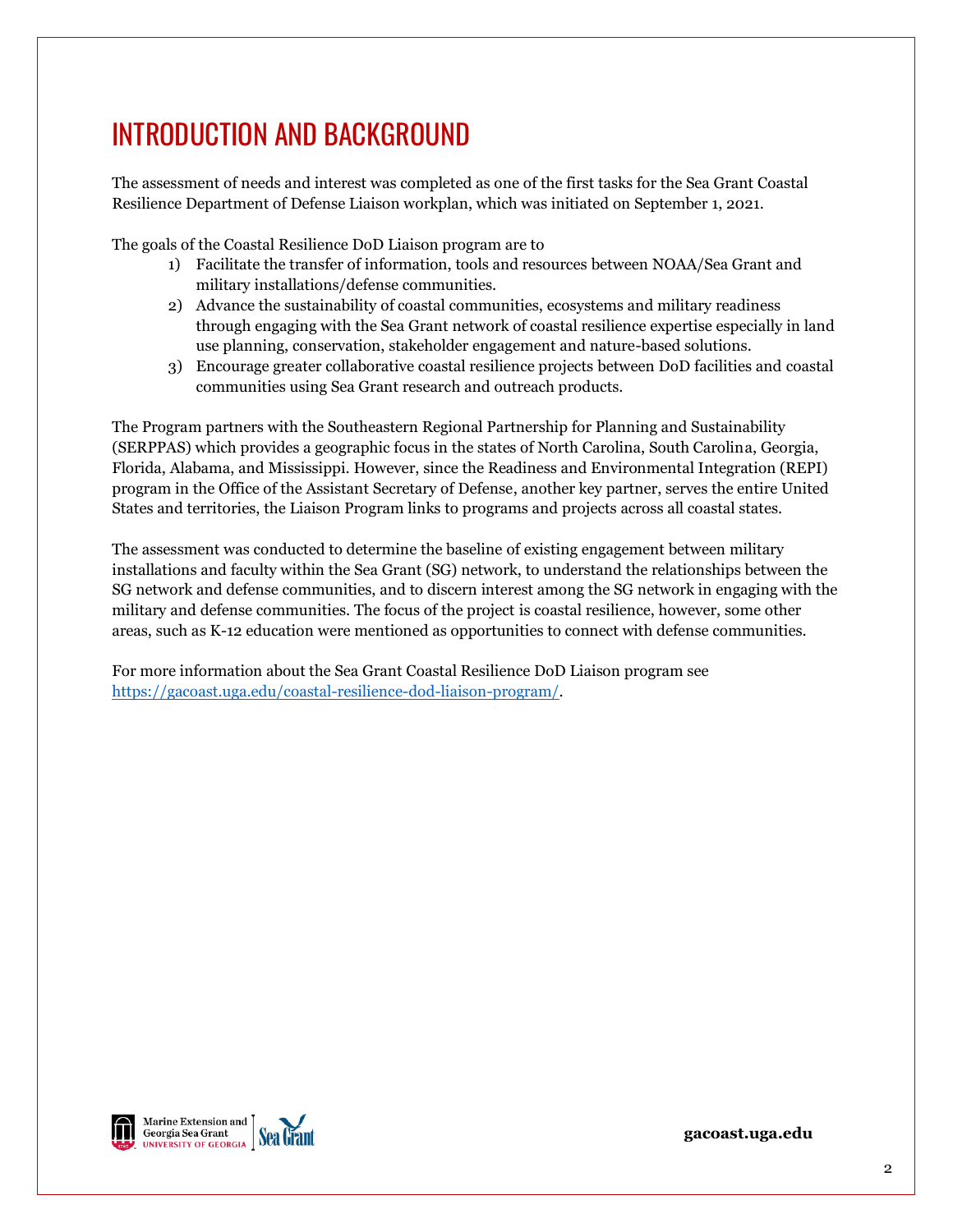# INTRODUCTION AND BACKGROUND

The assessment of needs and interest was completed as one of the first tasks for the Sea Grant Coastal Resilience Department of Defense Liaison workplan, which was initiated on September 1, 2021.

The goals of the Coastal Resilience DoD Liaison program are to

- 1) Facilitate the transfer of information, tools and resources between NOAA/Sea Grant and military installations/defense communities.
- 2) Advance the sustainability of coastal communities, ecosystems and military readiness through engaging with the Sea Grant network of coastal resilience expertise especially in land use planning, conservation, stakeholder engagement and nature-based solutions.
- 3) Encourage greater collaborative coastal resilience projects between DoD facilities and coastal communities using Sea Grant research and outreach products.

The Program partners with the Southeastern Regional Partnership for Planning and Sustainability (SERPPAS) which provides a geographic focus in the states of North Carolina, South Carolina, Georgia, Florida, Alabama, and Mississippi. However, since the Readiness and Environmental Integration (REPI) program in the Office of the Assistant Secretary of Defense, another key partner, serves the entire United States and territories, the Liaison Program links to programs and projects across all coastal states.

The assessment was conducted to determine the baseline of existing engagement between military installations and faculty within the Sea Grant (SG) network, to understand the relationships between the SG network and defense communities, and to discern interest among the SG network in engaging with the military and defense communities. The focus of the project is coastal resilience, however, some other areas, such as K-12 education were mentioned as opportunities to connect with defense communities.

For more information about the Sea Grant Coastal Resilience DoD Liaison program see [https://gacoast.uga.edu/coastal-resilience-dod-liaison-program/.](https://gacoast.uga.edu/coastal-resilience-dod-liaison-program/)

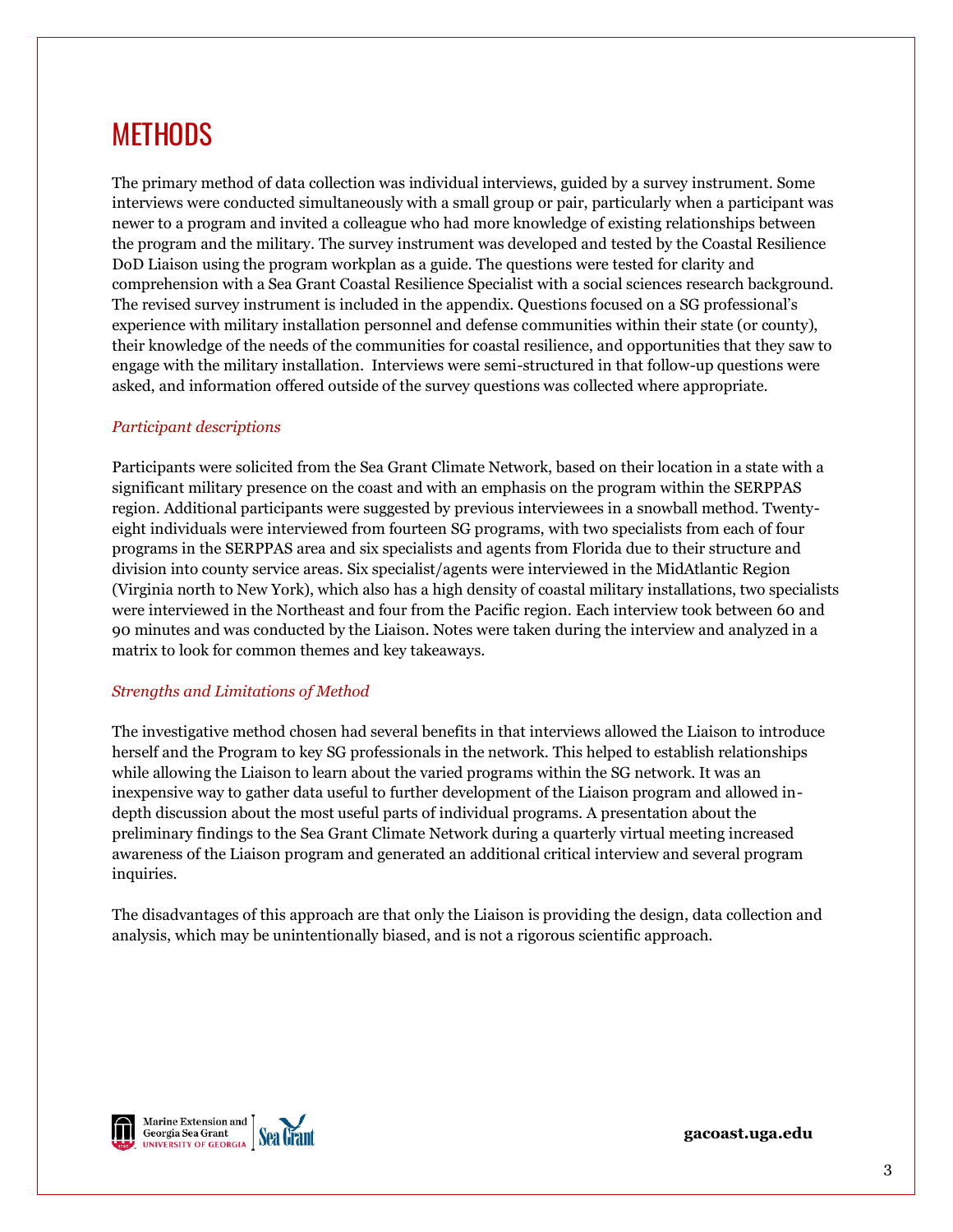## **METHODS**

The primary method of data collection was individual interviews, guided by a survey instrument. Some interviews were conducted simultaneously with a small group or pair, particularly when a participant was newer to a program and invited a colleague who had more knowledge of existing relationships between the program and the military. The survey instrument was developed and tested by the Coastal Resilience DoD Liaison using the program workplan as a guide. The questions were tested for clarity and comprehension with a Sea Grant Coastal Resilience Specialist with a social sciences research background. The revised survey instrument is included in the appendix. Questions focused on a SG professional's experience with military installation personnel and defense communities within their state (or county), their knowledge of the needs of the communities for coastal resilience, and opportunities that they saw to engage with the military installation. Interviews were semi-structured in that follow-up questions were asked, and information offered outside of the survey questions was collected where appropriate.

### *Participant descriptions*

Participants were solicited from the Sea Grant Climate Network, based on their location in a state with a significant military presence on the coast and with an emphasis on the program within the SERPPAS region. Additional participants were suggested by previous interviewees in a snowball method. Twentyeight individuals were interviewed from fourteen SG programs, with two specialists from each of four programs in the SERPPAS area and six specialists and agents from Florida due to their structure and division into county service areas. Six specialist/agents were interviewed in the MidAtlantic Region (Virginia north to New York), which also has a high density of coastal military installations, two specialists were interviewed in the Northeast and four from the Pacific region. Each interview took between 60 and 90 minutes and was conducted by the Liaison. Notes were taken during the interview and analyzed in a matrix to look for common themes and key takeaways.

#### *Strengths and Limitations of Method*

The investigative method chosen had several benefits in that interviews allowed the Liaison to introduce herself and the Program to key SG professionals in the network. This helped to establish relationships while allowing the Liaison to learn about the varied programs within the SG network. It was an inexpensive way to gather data useful to further development of the Liaison program and allowed indepth discussion about the most useful parts of individual programs. A presentation about the preliminary findings to the Sea Grant Climate Network during a quarterly virtual meeting increased awareness of the Liaison program and generated an additional critical interview and several program inquiries.

The disadvantages of this approach are that only the Liaison is providing the design, data collection and analysis, which may be unintentionally biased, and is not a rigorous scientific approach.



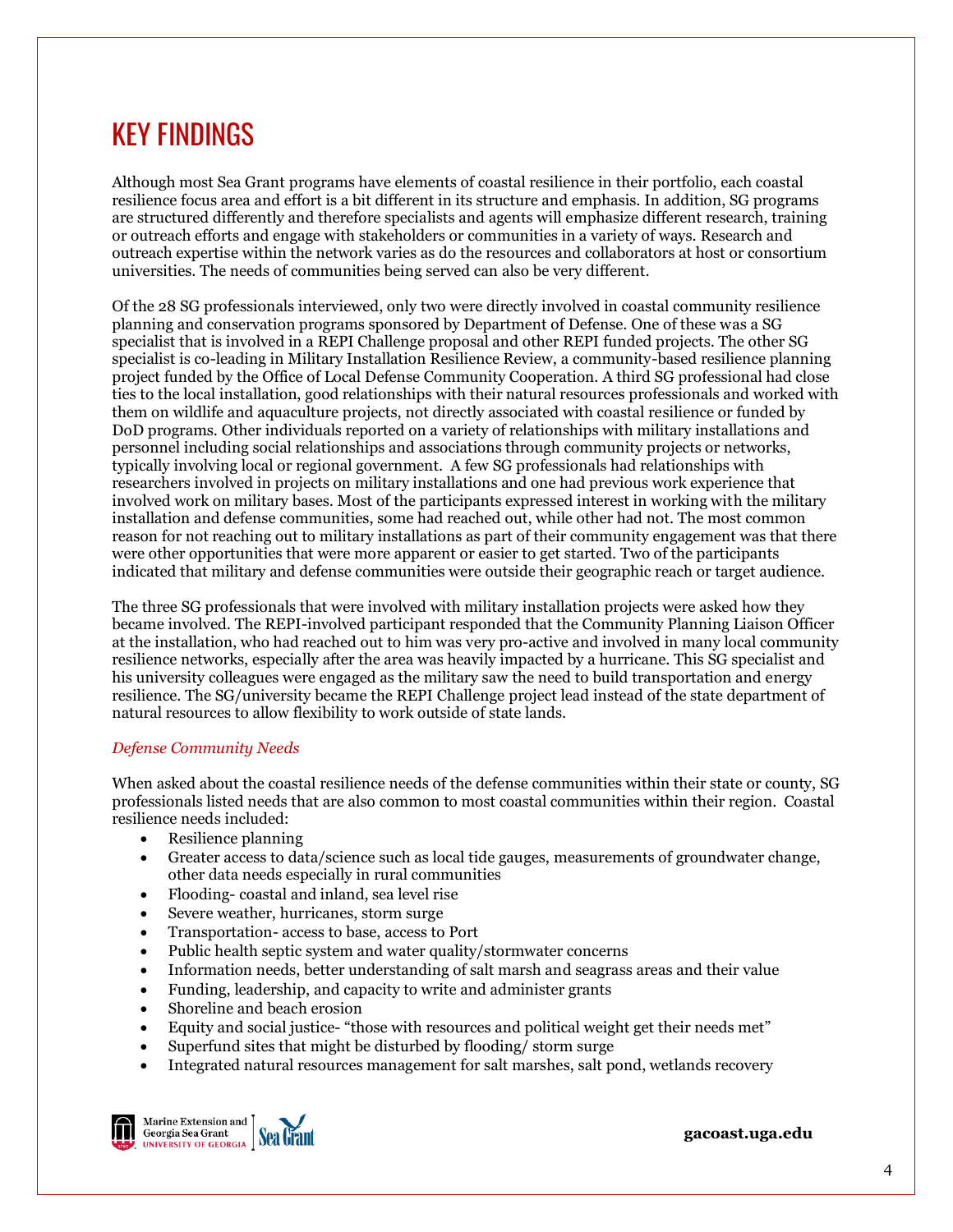# KEY FINDINGS

Although most Sea Grant programs have elements of coastal resilience in their portfolio, each coastal resilience focus area and effort is a bit different in its structure and emphasis. In addition, SG programs are structured differently and therefore specialists and agents will emphasize different research, training or outreach efforts and engage with stakeholders or communities in a variety of ways. Research and outreach expertise within the network varies as do the resources and collaborators at host or consortium universities. The needs of communities being served can also be very different.

Of the 28 SG professionals interviewed, only two were directly involved in coastal community resilience planning and conservation programs sponsored by Department of Defense. One of these was a SG specialist that is involved in a REPI Challenge proposal and other REPI funded projects. The other SG specialist is co-leading in Military Installation Resilience Review, a community-based resilience planning project funded by the Office of Local Defense Community Cooperation. A third SG professional had close ties to the local installation, good relationships with their natural resources professionals and worked with them on wildlife and aquaculture projects, not directly associated with coastal resilience or funded by DoD programs. Other individuals reported on a variety of relationships with military installations and personnel including social relationships and associations through community projects or networks, typically involving local or regional government. A few SG professionals had relationships with researchers involved in projects on military installations and one had previous work experience that involved work on military bases. Most of the participants expressed interest in working with the military installation and defense communities, some had reached out, while other had not. The most common reason for not reaching out to military installations as part of their community engagement was that there were other opportunities that were more apparent or easier to get started. Two of the participants indicated that military and defense communities were outside their geographic reach or target audience.

The three SG professionals that were involved with military installation projects were asked how they became involved. The REPI-involved participant responded that the Community Planning Liaison Officer at the installation, who had reached out to him was very pro-active and involved in many local community resilience networks, especially after the area was heavily impacted by a hurricane. This SG specialist and his university colleagues were engaged as the military saw the need to build transportation and energy resilience. The SG/university became the REPI Challenge project lead instead of the state department of natural resources to allow flexibility to work outside of state lands.

### *Defense Community Needs*

When asked about the coastal resilience needs of the defense communities within their state or county, SG professionals listed needs that are also common to most coastal communities within their region. Coastal resilience needs included:

- Resilience planning
- Greater access to data/science such as local tide gauges, measurements of groundwater change, other data needs especially in rural communities
- Flooding- coastal and inland, sea level rise
- Severe weather, hurricanes, storm surge
- Transportation- access to base, access to Port
- Public health septic system and water quality/stormwater concerns
- Information needs, better understanding of salt marsh and seagrass areas and their value
- Funding, leadership, and capacity to write and administer grants
- Shoreline and beach erosion
- Equity and social justice- "those with resources and political weight get their needs met"
- Superfund sites that might be disturbed by flooding/ storm surge
- Integrated natural resources management for salt marshes, salt pond, wetlands recovery



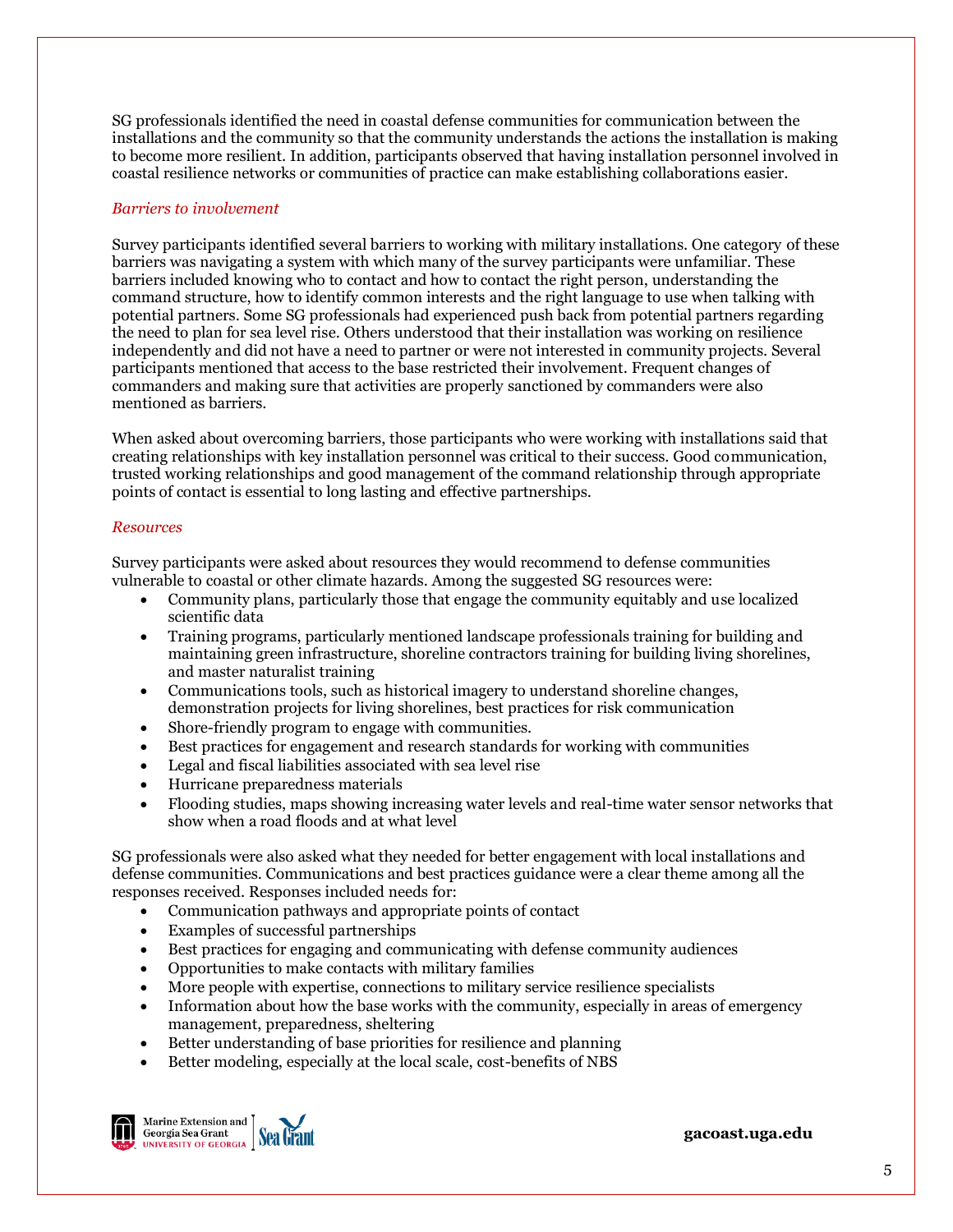SG professionals identified the need in coastal defense communities for communication between the installations and the community so that the community understands the actions the installation is making to become more resilient. In addition, participants observed that having installation personnel involved in coastal resilience networks or communities of practice can make establishing collaborations easier.

#### *Barriers to involvement*

Survey participants identified several barriers to working with military installations. One category of these barriers was navigating a system with which many of the survey participants were unfamiliar. These barriers included knowing who to contact and how to contact the right person, understanding the command structure, how to identify common interests and the right language to use when talking with potential partners. Some SG professionals had experienced push back from potential partners regarding the need to plan for sea level rise. Others understood that their installation was working on resilience independently and did not have a need to partner or were not interested in community projects. Several participants mentioned that access to the base restricted their involvement. Frequent changes of commanders and making sure that activities are properly sanctioned by commanders were also mentioned as barriers.

When asked about overcoming barriers, those participants who were working with installations said that creating relationships with key installation personnel was critical to their success. Good communication, trusted working relationships and good management of the command relationship through appropriate points of contact is essential to long lasting and effective partnerships.

#### *Resources*

Survey participants were asked about resources they would recommend to defense communities vulnerable to coastal or other climate hazards. Among the suggested SG resources were:

- Community plans, particularly those that engage the community equitably and use localized scientific data
- Training programs, particularly mentioned landscape professionals training for building and maintaining green infrastructure, shoreline contractors training for building living shorelines, and master naturalist training
- Communications tools, such as historical imagery to understand shoreline changes, demonstration projects for living shorelines, best practices for risk communication
- Shore-friendly program to engage with communities.
- Best practices for engagement and research standards for working with communities
- Legal and fiscal liabilities associated with sea level rise
- Hurricane preparedness materials
- Flooding studies, maps showing increasing water levels and real-time water sensor networks that show when a road floods and at what level

SG professionals were also asked what they needed for better engagement with local installations and defense communities. Communications and best practices guidance were a clear theme among all the responses received. Responses included needs for:

- Communication pathways and appropriate points of contact
- Examples of successful partnerships
- Best practices for engaging and communicating with defense community audiences
- Opportunities to make contacts with military families
- More people with expertise, connections to military service resilience specialists
- Information about how the base works with the community, especially in areas of emergency management, preparedness, sheltering
- Better understanding of base priorities for resilience and planning
- Better modeling, especially at the local scale, cost-benefits of NBS



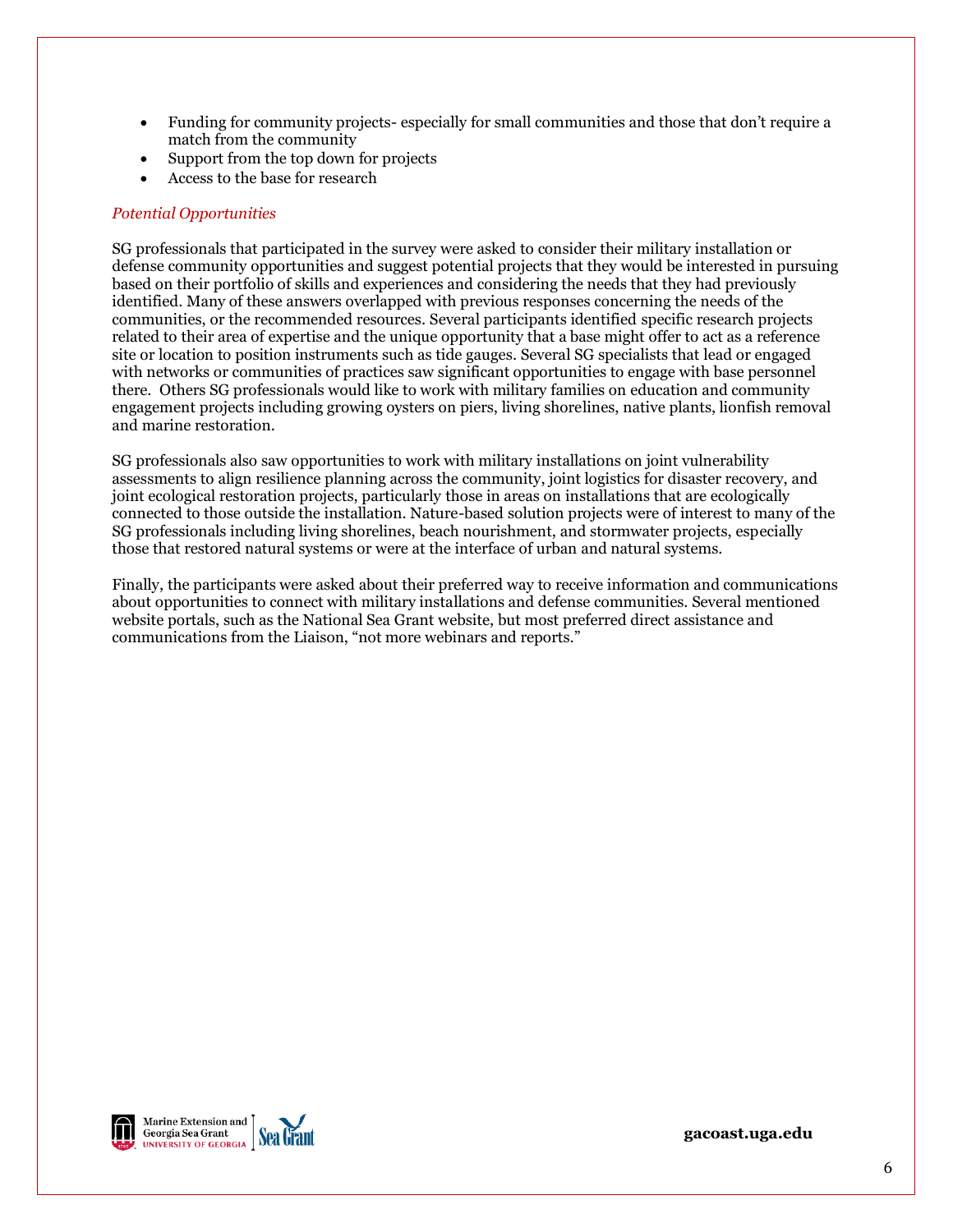- Funding for community projects- especially for small communities and those that don't require a match from the community
- Support from the top down for projects
- Access to the base for research

#### *Potential Opportunities*

SG professionals that participated in the survey were asked to consider their military installation or defense community opportunities and suggest potential projects that they would be interested in pursuing based on their portfolio of skills and experiences and considering the needs that they had previously identified. Many of these answers overlapped with previous responses concerning the needs of the communities, or the recommended resources. Several participants identified specific research projects related to their area of expertise and the unique opportunity that a base might offer to act as a reference site or location to position instruments such as tide gauges. Several SG specialists that lead or engaged with networks or communities of practices saw significant opportunities to engage with base personnel there. Others SG professionals would like to work with military families on education and community engagement projects including growing oysters on piers, living shorelines, native plants, lionfish removal and marine restoration.

SG professionals also saw opportunities to work with military installations on joint vulnerability assessments to align resilience planning across the community, joint logistics for disaster recovery, and joint ecological restoration projects, particularly those in areas on installations that are ecologically connected to those outside the installation. Nature-based solution projects were of interest to many of the SG professionals including living shorelines, beach nourishment, and stormwater projects, especially those that restored natural systems or were at the interface of urban and natural systems.

Finally, the participants were asked about their preferred way to receive information and communications about opportunities to connect with military installations and defense communities. Several mentioned website portals, such as the National Sea Grant website, but most preferred direct assistance and communications from the Liaison, "not more webinars and reports."

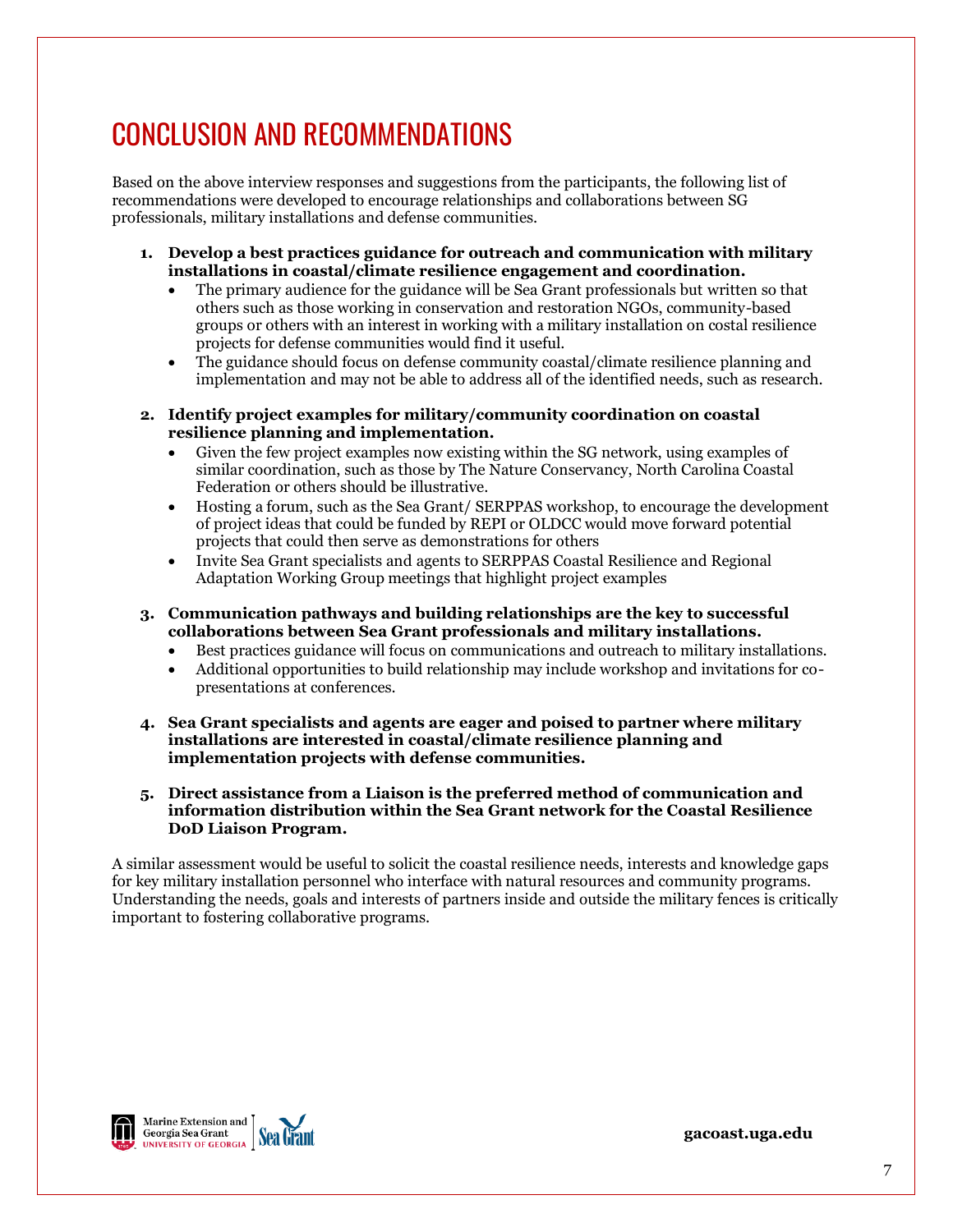# CONCLUSION AND RECOMMENDATIONS

Based on the above interview responses and suggestions from the participants, the following list of recommendations were developed to encourage relationships and collaborations between SG professionals, military installations and defense communities.

- **1. Develop a best practices guidance for outreach and communication with military installations in coastal/climate resilience engagement and coordination.**
	- The primary audience for the guidance will be Sea Grant professionals but written so that others such as those working in conservation and restoration NGOs, community-based groups or others with an interest in working with a military installation on costal resilience projects for defense communities would find it useful.
	- The guidance should focus on defense community coastal/climate resilience planning and implementation and may not be able to address all of the identified needs, such as research.
- **2. Identify project examples for military/community coordination on coastal resilience planning and implementation.**
	- Given the few project examples now existing within the SG network, using examples of similar coordination, such as those by The Nature Conservancy, North Carolina Coastal Federation or others should be illustrative.
	- Hosting a forum, such as the Sea Grant/ SERPPAS workshop, to encourage the development of project ideas that could be funded by REPI or OLDCC would move forward potential projects that could then serve as demonstrations for others
	- Invite Sea Grant specialists and agents to SERPPAS Coastal Resilience and Regional Adaptation Working Group meetings that highlight project examples
- **3. Communication pathways and building relationships are the key to successful collaborations between Sea Grant professionals and military installations.**
	- Best practices guidance will focus on communications and outreach to military installations.
	- Additional opportunities to build relationship may include workshop and invitations for copresentations at conferences.
- **4. Sea Grant specialists and agents are eager and poised to partner where military installations are interested in coastal/climate resilience planning and implementation projects with defense communities.**
- **5. Direct assistance from a Liaison is the preferred method of communication and information distribution within the Sea Grant network for the Coastal Resilience DoD Liaison Program.**

A similar assessment would be useful to solicit the coastal resilience needs, interests and knowledge gaps for key military installation personnel who interface with natural resources and community programs. Understanding the needs, goals and interests of partners inside and outside the military fences is critically important to fostering collaborative programs.

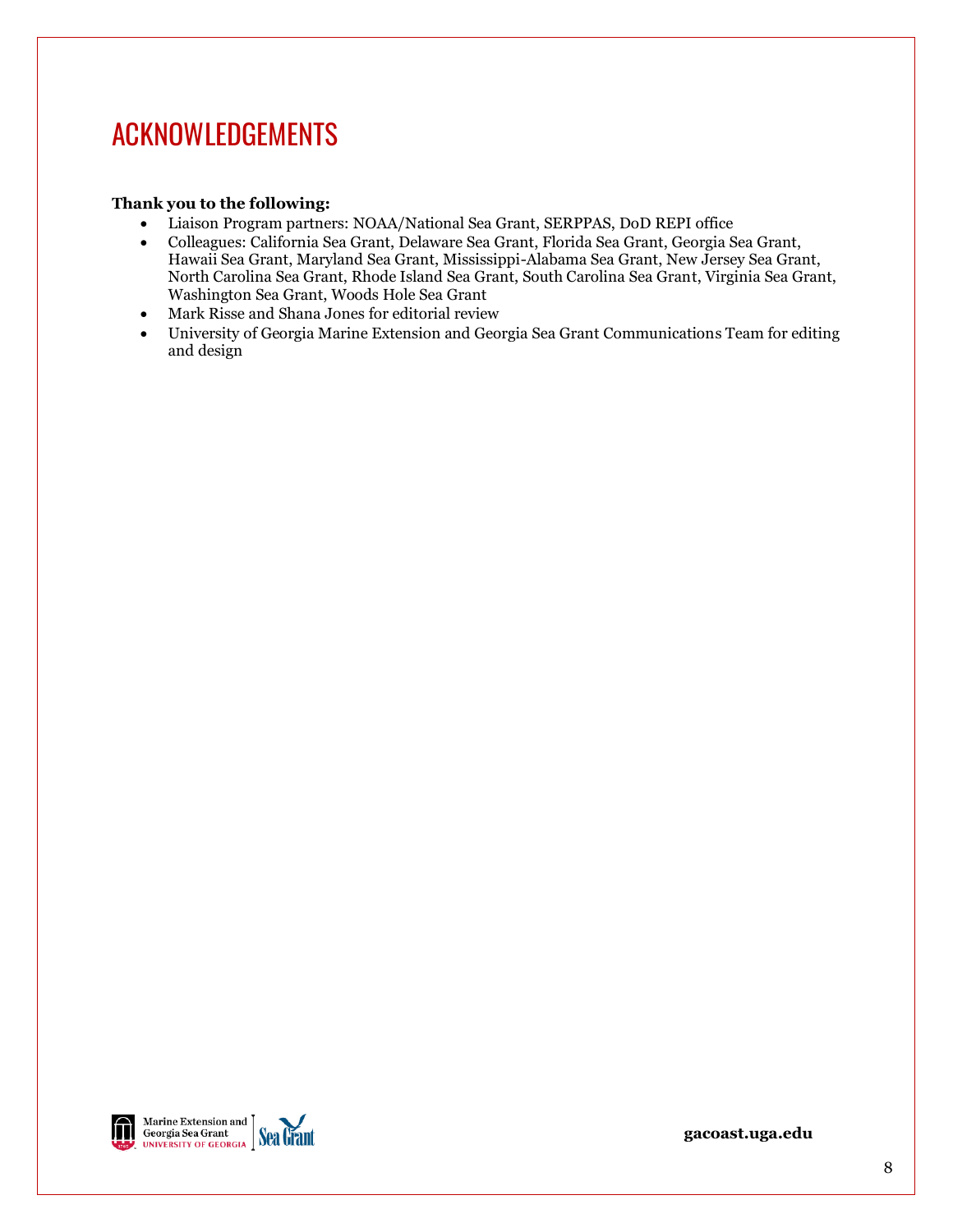## ACKNOWLEDGEMENTS

## **Thank you to the following:**

- Liaison Program partners: NOAA/National Sea Grant, SERPPAS, DoD REPI office
- Colleagues: California Sea Grant, Delaware Sea Grant, Florida Sea Grant, Georgia Sea Grant, Hawaii Sea Grant, Maryland Sea Grant, Mississippi-Alabama Sea Grant, New Jersey Sea Grant, North Carolina Sea Grant, Rhode Island Sea Grant, South Carolina Sea Grant, Virginia Sea Grant, Washington Sea Grant, Woods Hole Sea Grant
- Mark Risse and Shana Jones for editorial review
- University of Georgia Marine Extension and Georgia Sea Grant Communications Team for editing and design